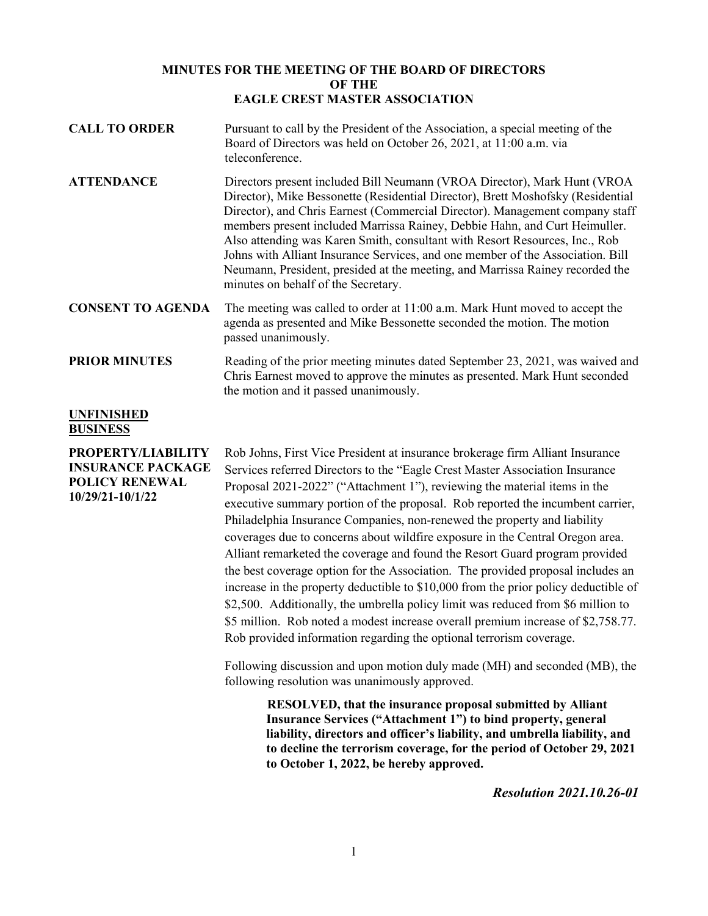## **MINUTES FOR THE MEETING OF THE BOARD OF DIRECTORS OF THE EAGLE CREST MASTER ASSOCIATION**

- **CALL TO ORDER** Pursuant to call by the President of the Association, a special meeting of the Board of Directors was held on October 26, 2021, at 11:00 a.m. via teleconference.
- **ATTENDANCE** Directors present included Bill Neumann (VROA Director), Mark Hunt (VROA Director), Mike Bessonette (Residential Director), Brett Moshofsky (Residential Director), and Chris Earnest (Commercial Director). Management company staff members present included Marrissa Rainey, Debbie Hahn, and Curt Heimuller. Also attending was Karen Smith, consultant with Resort Resources, Inc., Rob Johns with Alliant Insurance Services, and one member of the Association. Bill Neumann, President, presided at the meeting, and Marrissa Rainey recorded the minutes on behalf of the Secretary.
- **CONSENT TO AGENDA** The meeting was called to order at 11:00 a.m. Mark Hunt moved to accept the agenda as presented and Mike Bessonette seconded the motion. The motion passed unanimously.
- **PRIOR MINUTES** Reading of the prior meeting minutes dated September 23, 2021, was waived and Chris Earnest moved to approve the minutes as presented. Mark Hunt seconded the motion and it passed unanimously.

## **UNFINISHED BUSINESS**

**PROPERTY/LIABILITY INSURANCE PACKAGE POLICY RENEWAL 10/29/21-10/1/22**

Rob Johns, First Vice President at insurance brokerage firm Alliant Insurance Services referred Directors to the "Eagle Crest Master Association Insurance Proposal 2021-2022" ("Attachment 1"), reviewing the material items in the executive summary portion of the proposal. Rob reported the incumbent carrier, Philadelphia Insurance Companies, non-renewed the property and liability coverages due to concerns about wildfire exposure in the Central Oregon area. Alliant remarketed the coverage and found the Resort Guard program provided the best coverage option for the Association. The provided proposal includes an increase in the property deductible to \$10,000 from the prior policy deductible of \$2,500. Additionally, the umbrella policy limit was reduced from \$6 million to \$5 million. Rob noted a modest increase overall premium increase of \$2,758.77. Rob provided information regarding the optional terrorism coverage.

Following discussion and upon motion duly made (MH) and seconded (MB), the following resolution was unanimously approved.

> **RESOLVED, that the insurance proposal submitted by Alliant Insurance Services ("Attachment 1") to bind property, general liability, directors and officer's liability, and umbrella liability, and to decline the terrorism coverage, for the period of October 29, 2021 to October 1, 2022, be hereby approved.**

> > *Resolution 2021.10.26-01*